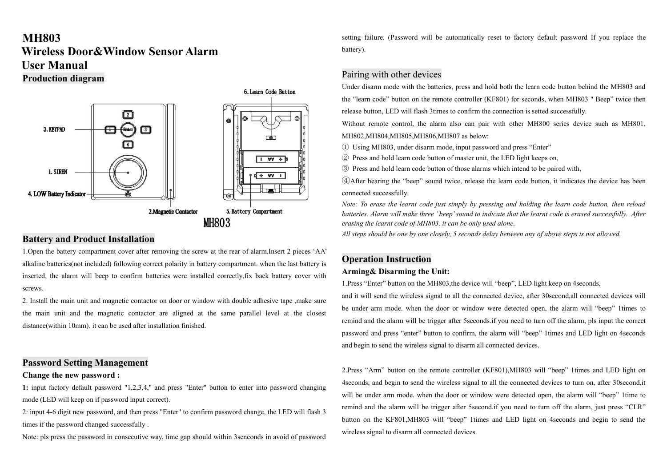# **MH803 Wireless Door&Window Sensor Alarm User Manual Production diagram**



## **Battery and Product Installation**

1.Open the battery compartment cover after removing the screw at the rear of alarm,Insert 2 pieces 'AA' alkaline batteries(not included) following correct polarity in battery compartment. when the last battery is inserted, the alarm will beep to confirm batteries were installed correctly,fix back battery cover with screws.

2. Install the main unit and magnetic contactor on door or window with double adhesive tape ,make sure the main unit and the magnetic contactor are aligned at the same parallel level at the closest distance(within 10mm). it can be used after installation finished.

## **Password Setting Management**

#### **Change the new password :**

**1:** input factory default password "1,2,3,4," and press "Enter" button to enter into password changing mode (LED will keep on if password input correct).

2: input 4-6 digit new password, and then press "Enter" to confirm password change, the LED will flash 3 times if the password changed successfully .

Note: pls press the password in consecutive way, time gap should within 3senconds in avoid of password

setting failure. (Password will be automatically reset to factory default password If you replace the battery).

## Pairing with other devices

Under disarm mode with the batteries, press and hold both the learn code button behind the MH803 and the "learn code" button on the remote controller (KF801) for seconds, when MH803 " Beep" twice then release button, LED will flash 3times to confirm the connection is setted successfully.

Without remote control, the alarm also can pair with other MH800 series device such as MH801, MH802,MH804,MH805,MH806,MH807 as below:

- ① Using MH803, under disarm mode, input password and press "Enter"
- ② Press and hold learn code button of master unit, the LED light keeps on,

③ Press and hold learn code button of those alarms which intend to be paired with,

④After hearing the "beep" sound twice, release the learn code button, it indicates the device has been connected successfully.

Note: To erase the learnt code just simply by pressing and holding the learn code button, then reload batteries. Alarm will make three 'beep' sound to indicate that the learnt code is erased successfully. .After *erasing the learnt code of MH803, it can be only used alone.*

All steps should be one by one closely, 5 seconds delay between any of above steps is not allowed.

#### **Operation Instruction**

#### **Arming& Disarming the Unit:**

1. Press "Enter" button on the MH803, the device will "beep", LED light keep on 4 seconds,

and it will send the wireless signal to all the connected device, after 30second,all connected devices will be under arm mode. when the door or window were detected open, the alarm will "beep" 1times to remind and the alarm will be trigger after 5seconds.if you need to turn off the alarm, pls input the correct password and press "enter" button to confirm, the alarm will "beep" 1times and LED light on 4seconds and begin to send the wireless signal to disarm allconnected devices.

2.Press "Arm" button on the remote controller (KF801),MH803 will "beep" 1times and LED light on 4seconds, and begin to send the wireless signal to all the connected devices to turn on, after 30second,it will be under arm mode, when the door or window were detected open, the alarm will "beep" 1time to remind and the alarm will be trigger after 5second.if you need to turn off the alarm, just press "CLR" button on the KF801,MH803 will "beep" 1times and LED light on 4seconds and begin to send the wireless signal to disarm all connected devices.